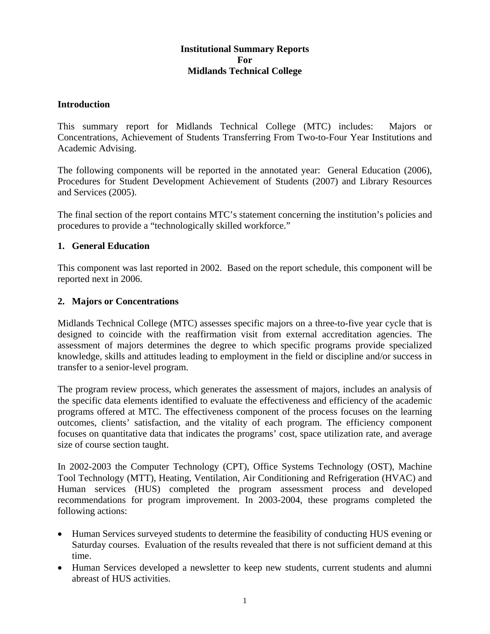# **Institutional Summary Reports For Midlands Technical College**

#### **Introduction**

This summary report for Midlands Technical College (MTC) includes: Majors or Concentrations, Achievement of Students Transferring From Two-to-Four Year Institutions and Academic Advising.

The following components will be reported in the annotated year: General Education (2006), Procedures for Student Development Achievement of Students (2007) and Library Resources and Services (2005).

The final section of the report contains MTC's statement concerning the institution's policies and procedures to provide a "technologically skilled workforce."

### **1. General Education**

This component was last reported in 2002. Based on the report schedule, this component will be reported next in 2006.

### **2. Majors or Concentrations**

Midlands Technical College (MTC) assesses specific majors on a three-to-five year cycle that is designed to coincide with the reaffirmation visit from external accreditation agencies. The assessment of majors determines the degree to which specific programs provide specialized knowledge, skills and attitudes leading to employment in the field or discipline and/or success in transfer to a senior-level program.

The program review process, which generates the assessment of majors, includes an analysis of the specific data elements identified to evaluate the effectiveness and efficiency of the academic programs offered at MTC. The effectiveness component of the process focuses on the learning outcomes, clients' satisfaction, and the vitality of each program. The efficiency component focuses on quantitative data that indicates the programs' cost, space utilization rate, and average size of course section taught.

In 2002-2003 the Computer Technology (CPT), Office Systems Technology (OST), Machine Tool Technology (MTT), Heating, Ventilation, Air Conditioning and Refrigeration (HVAC) and Human services (HUS) completed the program assessment process and developed recommendations for program improvement. In 2003-2004, these programs completed the following actions:

- Human Services surveyed students to determine the feasibility of conducting HUS evening or Saturday courses. Evaluation of the results revealed that there is not sufficient demand at this time.
- Human Services developed a newsletter to keep new students, current students and alumni abreast of HUS activities.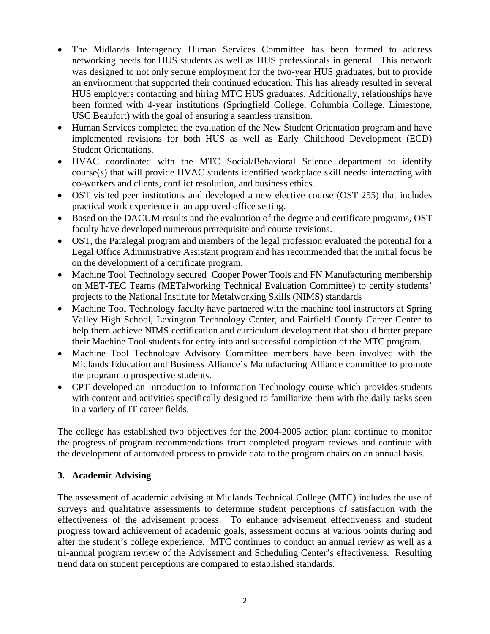- The Midlands Interagency Human Services Committee has been formed to address networking needs for HUS students as well as HUS professionals in general. This network was designed to not only secure employment for the two-year HUS graduates, but to provide an environment that supported their continued education. This has already resulted in several HUS employers contacting and hiring MTC HUS graduates. Additionally, relationships have been formed with 4-year institutions (Springfield College, Columbia College, Limestone, USC Beaufort) with the goal of ensuring a seamless transition.
- Human Services completed the evaluation of the New Student Orientation program and have implemented revisions for both HUS as well as Early Childhood Development (ECD) Student Orientations.
- HVAC coordinated with the MTC Social/Behavioral Science department to identify course(s) that will provide HVAC students identified workplace skill needs: interacting with co-workers and clients, conflict resolution, and business ethics.
- OST visited peer institutions and developed a new elective course (OST 255) that includes practical work experience in an approved office setting.
- Based on the DACUM results and the evaluation of the degree and certificate programs, OST faculty have developed numerous prerequisite and course revisions.
- OST, the Paralegal program and members of the legal profession evaluated the potential for a Legal Office Administrative Assistant program and has recommended that the initial focus be on the development of a certificate program.
- Machine Tool Technology secured Cooper Power Tools and FN Manufacturing membership on MET-TEC Teams (METalworking Technical Evaluation Committee) to certify students' projects to the National Institute for Metalworking Skills (NIMS) standards
- Machine Tool Technology faculty have partnered with the machine tool instructors at Spring Valley High School, Lexington Technology Center, and Fairfield County Career Center to help them achieve NIMS certification and curriculum development that should better prepare their Machine Tool students for entry into and successful completion of the MTC program.
- Machine Tool Technology Advisory Committee members have been involved with the Midlands Education and Business Alliance's Manufacturing Alliance committee to promote the program to prospective students.
- CPT developed an Introduction to Information Technology course which provides students with content and activities specifically designed to familiarize them with the daily tasks seen in a variety of IT career fields.

The college has established two objectives for the 2004-2005 action plan: continue to monitor the progress of program recommendations from completed program reviews and continue with the development of automated process to provide data to the program chairs on an annual basis.

# **3. Academic Advising**

The assessment of academic advising at Midlands Technical College (MTC) includes the use of surveys and qualitative assessments to determine student perceptions of satisfaction with the effectiveness of the advisement process. To enhance advisement effectiveness and student progress toward achievement of academic goals, assessment occurs at various points during and after the student's college experience. MTC continues to conduct an annual review as well as a tri-annual program review of the Advisement and Scheduling Center's effectiveness. Resulting trend data on student perceptions are compared to established standards.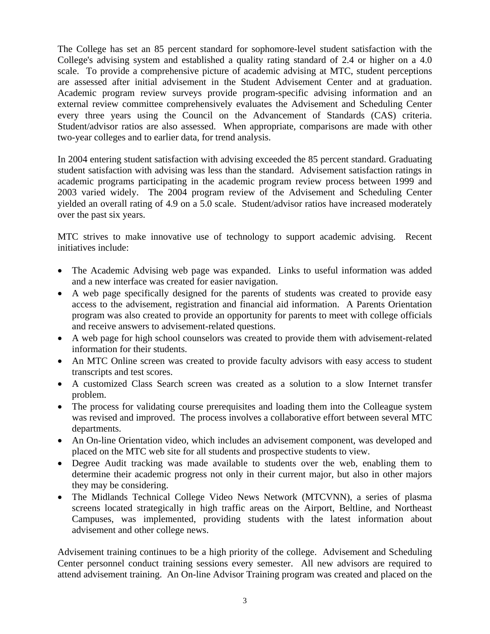The College has set an 85 percent standard for sophomore-level student satisfaction with the College's advising system and established a quality rating standard of 2.4 or higher on a 4.0 scale. To provide a comprehensive picture of academic advising at MTC, student perceptions are assessed after initial advisement in the Student Advisement Center and at graduation. Academic program review surveys provide program-specific advising information and an external review committee comprehensively evaluates the Advisement and Scheduling Center every three years using the Council on the Advancement of Standards (CAS) criteria. Student/advisor ratios are also assessed. When appropriate, comparisons are made with other two-year colleges and to earlier data, for trend analysis.

In 2004 entering student satisfaction with advising exceeded the 85 percent standard. Graduating student satisfaction with advising was less than the standard. Advisement satisfaction ratings in academic programs participating in the academic program review process between 1999 and 2003 varied widely. The 2004 program review of the Advisement and Scheduling Center yielded an overall rating of 4.9 on a 5.0 scale. Student/advisor ratios have increased moderately over the past six years.

MTC strives to make innovative use of technology to support academic advising. Recent initiatives include:

- The Academic Advising web page was expanded. Links to useful information was added and a new interface was created for easier navigation.
- A web page specifically designed for the parents of students was created to provide easy access to the advisement, registration and financial aid information. A Parents Orientation program was also created to provide an opportunity for parents to meet with college officials and receive answers to advisement-related questions.
- A web page for high school counselors was created to provide them with advisement-related information for their students.
- An MTC Online screen was created to provide faculty advisors with easy access to student transcripts and test scores.
- A customized Class Search screen was created as a solution to a slow Internet transfer problem.
- The process for validating course prerequisites and loading them into the Colleague system was revised and improved. The process involves a collaborative effort between several MTC departments.
- An On-line Orientation video, which includes an advisement component, was developed and placed on the MTC web site for all students and prospective students to view.
- Degree Audit tracking was made available to students over the web, enabling them to determine their academic progress not only in their current major, but also in other majors they may be considering.
- The Midlands Technical College Video News Network (MTCVNN), a series of plasma screens located strategically in high traffic areas on the Airport, Beltline, and Northeast Campuses, was implemented, providing students with the latest information about advisement and other college news.

Advisement training continues to be a high priority of the college. Advisement and Scheduling Center personnel conduct training sessions every semester. All new advisors are required to attend advisement training. An On-line Advisor Training program was created and placed on the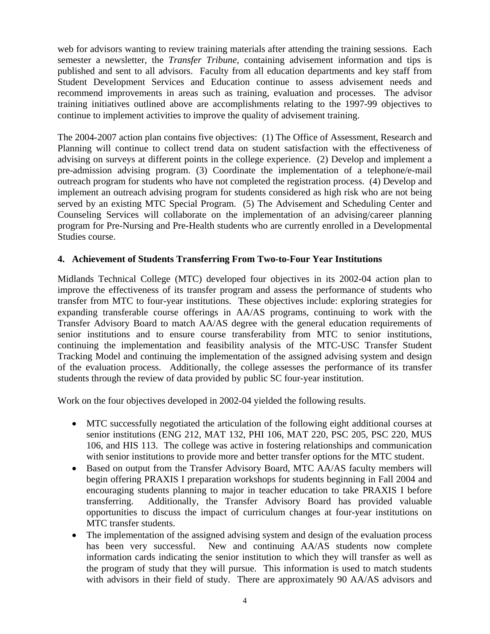web for advisors wanting to review training materials after attending the training sessions. Each semester a newsletter, the *Transfer Tribune*, containing advisement information and tips is published and sent to all advisors. Faculty from all education departments and key staff from Student Development Services and Education continue to assess advisement needs and recommend improvements in areas such as training, evaluation and processes. The advisor training initiatives outlined above are accomplishments relating to the 1997-99 objectives to continue to implement activities to improve the quality of advisement training.

The 2004-2007 action plan contains five objectives: (1) The Office of Assessment, Research and Planning will continue to collect trend data on student satisfaction with the effectiveness of advising on surveys at different points in the college experience. (2) Develop and implement a pre-admission advising program. (3) Coordinate the implementation of a telephone/e-mail outreach program for students who have not completed the registration process. (4) Develop and implement an outreach advising program for students considered as high risk who are not being served by an existing MTC Special Program. (5) The Advisement and Scheduling Center and Counseling Services will collaborate on the implementation of an advising/career planning program for Pre-Nursing and Pre-Health students who are currently enrolled in a Developmental Studies course.

# **4. Achievement of Students Transferring From Two-to-Four Year Institutions**

Midlands Technical College (MTC) developed four objectives in its 2002-04 action plan to improve the effectiveness of its transfer program and assess the performance of students who transfer from MTC to four-year institutions. These objectives include: exploring strategies for expanding transferable course offerings in AA/AS programs, continuing to work with the Transfer Advisory Board to match AA/AS degree with the general education requirements of senior institutions and to ensure course transferability from MTC to senior institutions, continuing the implementation and feasibility analysis of the MTC-USC Transfer Student Tracking Model and continuing the implementation of the assigned advising system and design of the evaluation process. Additionally, the college assesses the performance of its transfer students through the review of data provided by public SC four-year institution.

Work on the four objectives developed in 2002-04 yielded the following results.

- MTC successfully negotiated the articulation of the following eight additional courses at senior institutions (ENG 212, MAT 132, PHI 106, MAT 220, PSC 205, PSC 220, MUS 106, and HIS 113. The college was active in fostering relationships and communication with senior institutions to provide more and better transfer options for the MTC student.
- Based on output from the Transfer Advisory Board, MTC AA/AS faculty members will begin offering PRAXIS I preparation workshops for students beginning in Fall 2004 and encouraging students planning to major in teacher education to take PRAXIS I before transferring. Additionally, the Transfer Advisory Board has provided valuable opportunities to discuss the impact of curriculum changes at four-year institutions on MTC transfer students.
- The implementation of the assigned advising system and design of the evaluation process has been very successful. New and continuing AA/AS students now complete information cards indicating the senior institution to which they will transfer as well as the program of study that they will pursue. This information is used to match students with advisors in their field of study. There are approximately 90 AA/AS advisors and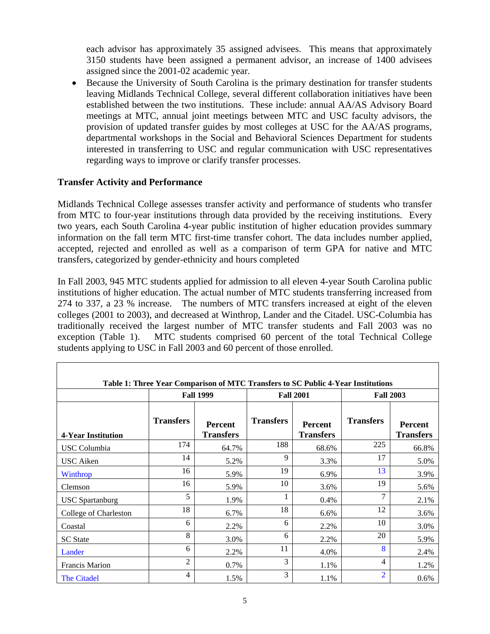each advisor has approximately 35 assigned advisees. This means that approximately 3150 students have been assigned a permanent advisor, an increase of 1400 advisees assigned since the 2001-02 academic year.

• Because the University of South Carolina is the primary destination for transfer students leaving Midlands Technical College, several different collaboration initiatives have been established between the two institutions. These include: annual AA/AS Advisory Board meetings at MTC, annual joint meetings between MTC and USC faculty advisors, the provision of updated transfer guides by most colleges at USC for the AA/AS programs, departmental workshops in the Social and Behavioral Sciences Department for students interested in transferring to USC and regular communication with USC representatives regarding ways to improve or clarify transfer processes.

# **Transfer Activity and Performance**

Midlands Technical College assesses transfer activity and performance of students who transfer from MTC to four-year institutions through data provided by the receiving institutions. Every two years, each South Carolina 4-year public institution of higher education provides summary information on the fall term MTC first-time transfer cohort. The data includes number applied, accepted, rejected and enrolled as well as a comparison of term GPA for native and MTC transfers, categorized by gender-ethnicity and hours completed

In Fall 2003, 945 MTC students applied for admission to all eleven 4-year South Carolina public institutions of higher education. The actual number of MTC students transferring increased from 274 to 337, a 23 % increase. The numbers of MTC transfers increased at eight of the eleven colleges (2001 to 2003), and decreased at Winthrop, Lander and the Citadel. USC-Columbia has traditionally received the largest number of MTC transfer students and Fall 2003 was no exception (Table 1). MTC students comprised 60 percent of the total Technical College students applying to USC in Fall 2003 and 60 percent of those enrolled.

|                           |                  | <b>Fall 1999</b>                   | <b>Fall 2001</b> |                                    | <b>Fall 2003</b> |                                    |
|---------------------------|------------------|------------------------------------|------------------|------------------------------------|------------------|------------------------------------|
| <b>4-Year Institution</b> | <b>Transfers</b> | <b>Percent</b><br><b>Transfers</b> | <b>Transfers</b> | <b>Percent</b><br><b>Transfers</b> | <b>Transfers</b> | <b>Percent</b><br><b>Transfers</b> |
| USC Columbia              | 174              | 64.7%                              | 188              | 68.6%                              | 225              | 66.8%                              |
| USC Aiken                 | 14               | 5.2%                               | 9                | 3.3%                               | 17               | 5.0%                               |
| Winthrop                  | 16               | 5.9%                               | 19               | 6.9%                               | 13               | 3.9%                               |
| Clemson                   | 16               | 5.9%                               | 10               | 3.6%                               | 19               | 5.6%                               |
| <b>USC</b> Spartanburg    | 5                | 1.9%                               |                  | 0.4%                               | 7                | 2.1%                               |
| College of Charleston     | 18               | 6.7%                               | 18               | 6.6%                               | 12               | 3.6%                               |
| Coastal                   | 6                | 2.2%                               | 6                | 2.2%                               | 10               | 3.0%                               |
| <b>SC</b> State           | 8                | 3.0%                               | 6                | 2.2%                               | 20               | 5.9%                               |
| Lander                    | 6                | 2.2%                               | 11               | 4.0%                               | 8                | 2.4%                               |
| <b>Francis Marion</b>     | $\overline{2}$   | 0.7%                               | 3                | 1.1%                               | $\overline{4}$   | 1.2%                               |
| The Citadel               | 4                | 1.5%                               | 3                | 1.1%                               | $\overline{2}$   | $0.6\%$                            |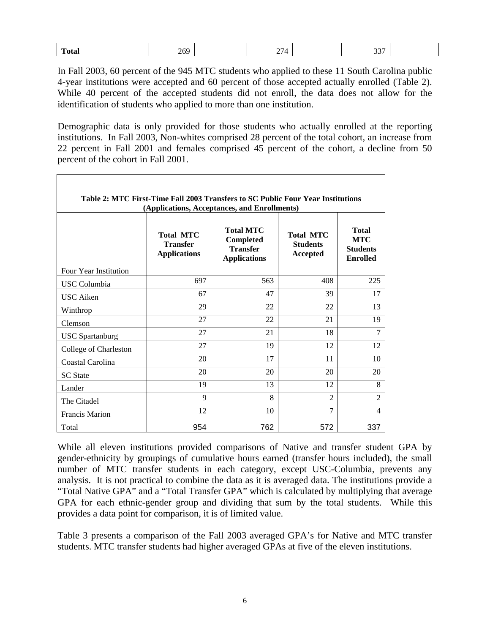| $\overline{\phantom{a}}$<br>$   -$ |  | - - | $\sim$ $\sim$ $\sim$<br>۰. |  |
|------------------------------------|--|-----|----------------------------|--|
|                                    |  |     |                            |  |

In Fall 2003, 60 percent of the 945 MTC students who applied to these 11 South Carolina public 4-year institutions were accepted and 60 percent of those accepted actually enrolled (Table 2). While 40 percent of the accepted students did not enroll, the data does not allow for the identification of students who applied to more than one institution.

Demographic data is only provided for those students who actually enrolled at the reporting institutions. In Fall 2003, Non-whites comprised 28 percent of the total cohort, an increase from 22 percent in Fall 2001 and females comprised 45 percent of the cohort, a decline from 50 percent of the cohort in Fall 2001.

| Table 2: MTC First-Time Fall 2003 Transfers to SC Public Four Year Institutions<br>(Applications, Acceptances, and Enrollments) |                                                            |                                                                                |                                                 |                                                           |  |  |
|---------------------------------------------------------------------------------------------------------------------------------|------------------------------------------------------------|--------------------------------------------------------------------------------|-------------------------------------------------|-----------------------------------------------------------|--|--|
|                                                                                                                                 | <b>Total MTC</b><br><b>Transfer</b><br><b>Applications</b> | <b>Total MTC</b><br><b>Completed</b><br><b>Transfer</b><br><b>Applications</b> | <b>Total MTC</b><br><b>Students</b><br>Accepted | Total<br><b>MTC</b><br><b>Students</b><br><b>Enrolled</b> |  |  |
| Four Year Institution                                                                                                           | 697                                                        | 563                                                                            | 408                                             | 225                                                       |  |  |
| USC Columbia                                                                                                                    |                                                            |                                                                                |                                                 |                                                           |  |  |
| <b>USC</b> Aiken                                                                                                                | 67                                                         | 47                                                                             | 39                                              | 17                                                        |  |  |
| Winthrop                                                                                                                        | 29                                                         | 22                                                                             | 22                                              | 13                                                        |  |  |
| Clemson                                                                                                                         | 27                                                         | 22                                                                             | 21                                              | 19                                                        |  |  |
| <b>USC</b> Spartanburg                                                                                                          | 27                                                         | 21                                                                             | 18                                              | 7                                                         |  |  |
| College of Charleston                                                                                                           | 27                                                         | 19                                                                             | 12                                              | 12                                                        |  |  |
| Coastal Carolina                                                                                                                | 20                                                         | 17                                                                             | 11                                              | 10                                                        |  |  |
| <b>SC</b> State                                                                                                                 | 20                                                         | 20                                                                             | 20                                              | 20                                                        |  |  |
| Lander                                                                                                                          | 19                                                         | 13                                                                             | 12                                              | 8                                                         |  |  |
| The Citadel                                                                                                                     | 9                                                          | 8                                                                              | $\mathfrak{D}$                                  | $\overline{2}$                                            |  |  |
| <b>Francis Marion</b>                                                                                                           | 12                                                         | 10                                                                             | $\tau$                                          | 4                                                         |  |  |
| Total                                                                                                                           | 954                                                        | 762                                                                            | 572                                             | 337                                                       |  |  |

While all eleven institutions provided comparisons of Native and transfer student GPA by gender-ethnicity by groupings of cumulative hours earned (transfer hours included), the small number of MTC transfer students in each category, except USC-Columbia, prevents any analysis. It is not practical to combine the data as it is averaged data. The institutions provide a "Total Native GPA" and a "Total Transfer GPA" which is calculated by multiplying that average GPA for each ethnic-gender group and dividing that sum by the total students. While this provides a data point for comparison, it is of limited value.

Table 3 presents a comparison of the Fall 2003 averaged GPA's for Native and MTC transfer students. MTC transfer students had higher averaged GPAs at five of the eleven institutions.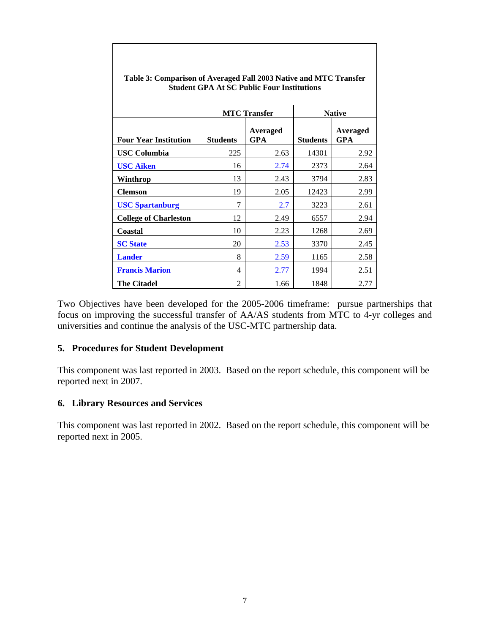|                              |                 | <b>MTC</b> Transfer | <b>Native</b>   |                        |  |
|------------------------------|-----------------|---------------------|-----------------|------------------------|--|
| <b>Four Year Institution</b> | <b>Students</b> | Averaged<br>GPA     | <b>Students</b> | Averaged<br><b>GPA</b> |  |
| <b>USC Columbia</b>          | 225             | 2.63                | 14301           | 2.92                   |  |
| <b>USC Aiken</b>             | 16              | 2.74                | 2373            | 2.64                   |  |
| Winthrop                     | 13              | 2.43                | 3794            | 2.83                   |  |
| <b>Clemson</b>               | 19              | 2.05                | 12423           | 2.99                   |  |
| <b>USC Spartanburg</b>       | 7               | 2.7                 | 3223            | 2.61                   |  |
| <b>College of Charleston</b> | 12              | 2.49                | 6557            | 2.94                   |  |
| Coastal                      | 10              | 2.23                | 1268            | 2.69                   |  |
| <b>SC State</b>              | 20              | 2.53                | 3370            | 2.45                   |  |
| <b>Lander</b>                | 8               | 2.59                | 1165            | 2.58                   |  |
| <b>Francis Marion</b>        | 4               | 2.77                | 1994            | 2.51                   |  |
| <b>The Citadel</b>           | 2               | 1.66                | 1848            | 2.77                   |  |

**Table 3: Comparison of Averaged Fall 2003 Native and MTC Transfer Student GPA At SC Public Four Institutions** 

Two Objectives have been developed for the 2005-2006 timeframe: pursue partnerships that focus on improving the successful transfer of AA/AS students from MTC to 4-yr colleges and universities and continue the analysis of the USC-MTC partnership data.

#### **5. Procedures for Student Development**

This component was last reported in 2003. Based on the report schedule, this component will be reported next in 2007.

# **6. Library Resources and Services**

This component was last reported in 2002. Based on the report schedule, this component will be reported next in 2005.